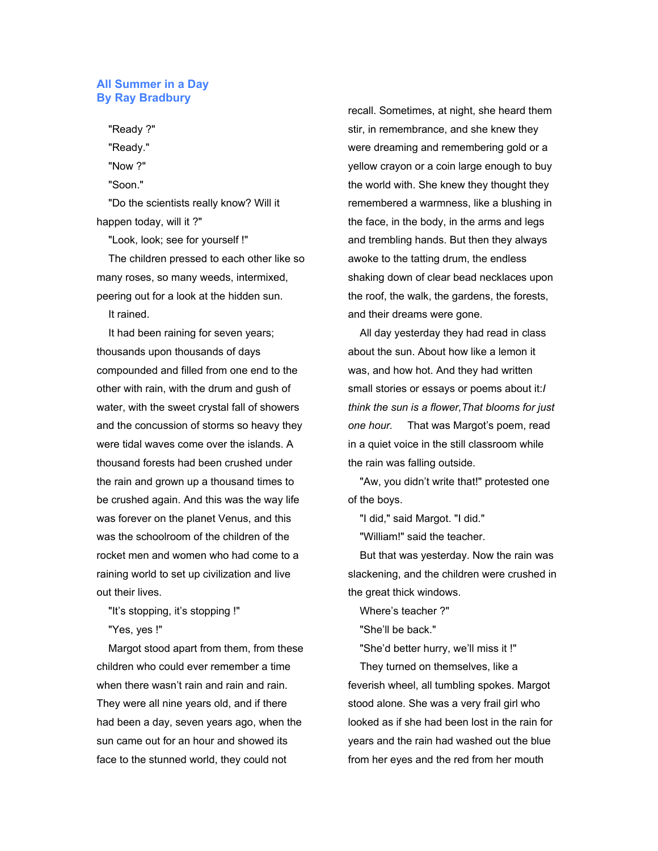## **All Summer in a Day By Ray Bradbury**

"Ready ?"

"Ready."

"Now ?"

"Soon."

 "Do the scientists really know? Will it happen today, will it ?"

"Look, look; see for yourself !"

 The children pressed to each other like so many roses, so many weeds, intermixed, peering out for a look at the hidden sun.

It rained.

It had been raining for seven years; thousands upon thousands of days compounded and filled from one end to the other with rain, with the drum and gush of water, with the sweet crystal fall of showers and the concussion of storms so heavy they were tidal waves come over the islands. A thousand forests had been crushed under the rain and grown up a thousand times to be crushed again. And this was the way life was forever on the planet Venus, and this was the schoolroom of the children of the rocket men and women who had come to a raining world to set up civilization and live out their lives.

 "It's stopping, it's stopping !" "Yes, yes !"

 Margot stood apart from them, from these children who could ever remember a time when there wasn't rain and rain and rain. They were all nine years old, and if there had been a day, seven years ago, when the sun came out for an hour and showed its face to the stunned world, they could not

recall. Sometimes, at night, she heard them stir, in remembrance, and she knew they were dreaming and remembering gold or a yellow crayon or a coin large enough to buy the world with. She knew they thought they remembered a warmness, like a blushing in the face, in the body, in the arms and legs and trembling hands. But then they always awoke to the tatting drum, the endless shaking down of clear bead necklaces upon the roof, the walk, the gardens, the forests, and their dreams were gone.

 All day yesterday they had read in class about the sun. About how like a lemon it was, and how hot. And they had written small stories or essays or poems about it:*I think the sun is a flower,That blooms for just one hour.* That was Margot's poem, read in a quiet voice in the still classroom while the rain was falling outside.

 "Aw, you didn't write that!" protested one of the boys.

"I did," said Margot. "I did."

"William!" said the teacher.

 But that was yesterday. Now the rain was slackening, and the children were crushed in the great thick windows.

Where's teacher ?"

"She'll be back."

"She'd better hurry, we'll miss it !"

 They turned on themselves, like a feverish wheel, all tumbling spokes. Margot stood alone. She was a very frail girl who looked as if she had been lost in the rain for years and the rain had washed out the blue from her eyes and the red from her mouth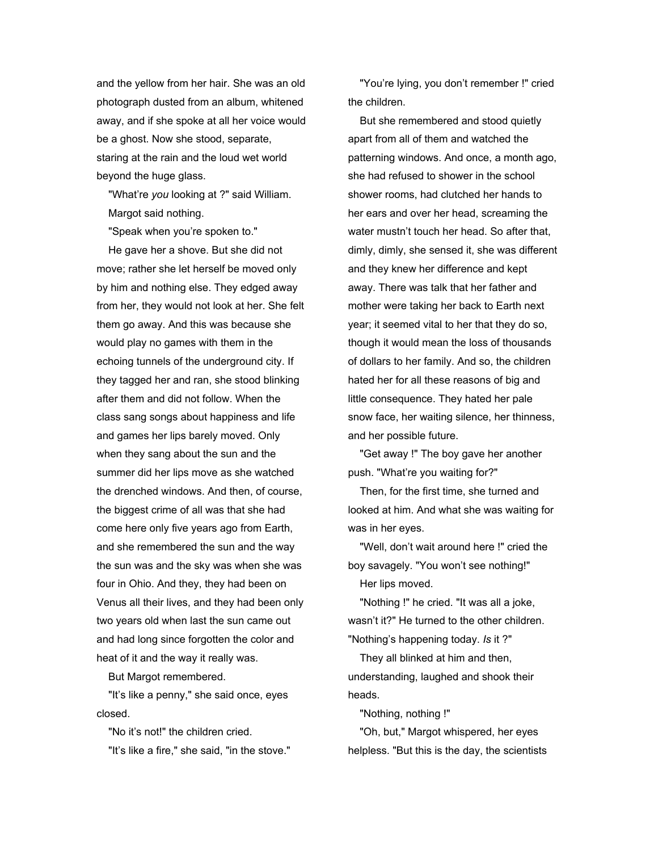and the yellow from her hair. She was an old photograph dusted from an album, whitened away, and if she spoke at all her voice would be a ghost. Now she stood, separate, staring at the rain and the loud wet world beyond the huge glass.

 "What're *you* looking at ?" said William. Margot said nothing.

"Speak when you're spoken to."

 He gave her a shove. But she did not move; rather she let herself be moved only by him and nothing else. They edged away from her, they would not look at her. She felt them go away. And this was because she would play no games with them in the echoing tunnels of the underground city. If they tagged her and ran, she stood blinking after them and did not follow. When the class sang songs about happiness and life and games her lips barely moved. Only when they sang about the sun and the summer did her lips move as she watched the drenched windows. And then, of course, the biggest crime of all was that she had come here only five years ago from Earth, and she remembered the sun and the way the sun was and the sky was when she was four in Ohio. And they, they had been on Venus all their lives, and they had been only two years old when last the sun came out and had long since forgotten the color and heat of it and the way it really was.

But Margot remembered.

 "It's like a penny," she said once, eyes closed.

 "No it's not!" the children cried. "It's like a fire," she said, "in the stove."

 "You're lying, you don't remember !" cried the children.

 But she remembered and stood quietly apart from all of them and watched the patterning windows. And once, a month ago, she had refused to shower in the school shower rooms, had clutched her hands to her ears and over her head, screaming the water mustn't touch her head. So after that, dimly, dimly, she sensed it, she was different and they knew her difference and kept away. There was talk that her father and mother were taking her back to Earth next year; it seemed vital to her that they do so, though it would mean the loss of thousands of dollars to her family. And so, the children hated her for all these reasons of big and little consequence. They hated her pale snow face, her waiting silence, her thinness, and her possible future.

 "Get away !" The boy gave her another push. "What're you waiting for?"

 Then, for the first time, she turned and looked at him. And what she was waiting for was in her eyes.

 "Well, don't wait around here !" cried the boy savagely. "You won't see nothing!" Her lips moved.

 "Nothing !" he cried. "It was all a joke, wasn't it?" He turned to the other children. "Nothing's happening today. *Is* it ?"

 They all blinked at him and then, understanding, laughed and shook their heads.

"Nothing, nothing !"

 "Oh, but," Margot whispered, her eyes helpless. "But this is the day, the scientists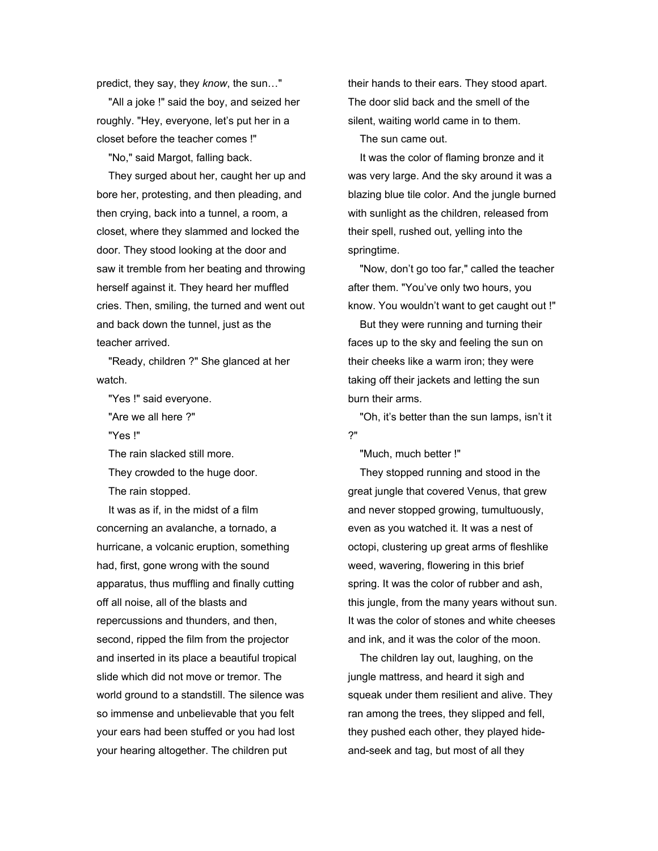predict, they say, they *know*, the sun…"

 "All a joke !" said the boy, and seized her roughly. "Hey, everyone, let's put her in a closet before the teacher comes !"

"No," said Margot, falling back.

 They surged about her, caught her up and bore her, protesting, and then pleading, and then crying, back into a tunnel, a room, a closet, where they slammed and locked the door. They stood looking at the door and saw it tremble from her beating and throwing herself against it. They heard her muffled cries. Then, smiling, the turned and went out and back down the tunnel, just as the teacher arrived.

 "Ready, children ?" She glanced at her watch.

"Yes !" said everyone.

"Are we all here ?"

"Yes !"

 The rain slacked still more. They crowded to the huge door. The rain stopped.

 It was as if, in the midst of a film concerning an avalanche, a tornado, a hurricane, a volcanic eruption, something had, first, gone wrong with the sound apparatus, thus muffling and finally cutting off all noise, all of the blasts and repercussions and thunders, and then, second, ripped the film from the projector and inserted in its place a beautiful tropical slide which did not move or tremor. The world ground to a standstill. The silence was so immense and unbelievable that you felt your ears had been stuffed or you had lost your hearing altogether. The children put

their hands to their ears. They stood apart. The door slid back and the smell of the silent, waiting world came in to them.

The sun came out.

 It was the color of flaming bronze and it was very large. And the sky around it was a blazing blue tile color. And the jungle burned with sunlight as the children, released from their spell, rushed out, yelling into the springtime.

 "Now, don't go too far," called the teacher after them. "You've only two hours, you know. You wouldn't want to get caught out !"

 But they were running and turning their faces up to the sky and feeling the sun on their cheeks like a warm iron; they were taking off their jackets and letting the sun burn their arms.

 "Oh, it's better than the sun lamps, isn't it ?"

"Much, much better !"

 They stopped running and stood in the great jungle that covered Venus, that grew and never stopped growing, tumultuously, even as you watched it. It was a nest of octopi, clustering up great arms of fleshlike weed, wavering, flowering in this brief spring. It was the color of rubber and ash, this jungle, from the many years without sun. It was the color of stones and white cheeses and ink, and it was the color of the moon.

 The children lay out, laughing, on the jungle mattress, and heard it sigh and squeak under them resilient and alive. They ran among the trees, they slipped and fell, they pushed each other, they played hideand-seek and tag, but most of all they